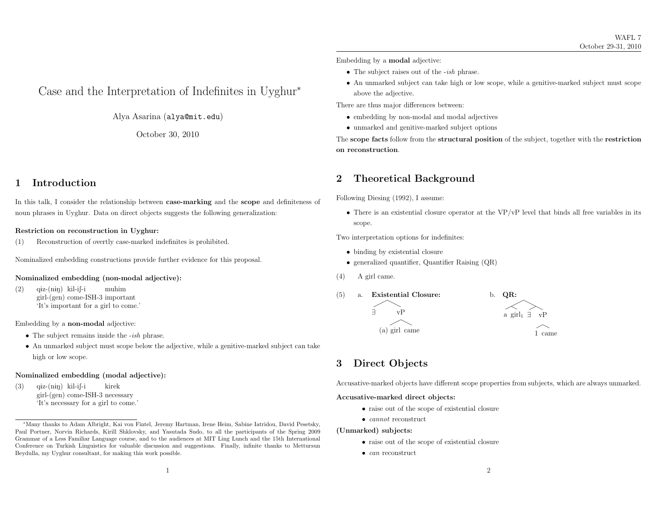# Case and the Interpretation of Indefinites in Uyghur∗

Alya Asarina (alya@mit.edu)

October 30, <sup>2010</sup>

### <sup>1</sup> Introduction

In this talk, <sup>I</sup> consider the relationship between case-marking and the scope and definiteness of noun <sup>p</sup>hrases in Uyghur. Data on direct objects suggests the following generalization:

#### Restriction on reconstruction in Uyghur:

(1) Reconstruction of overtly case-marked indefinites is prohibited.

Nominalized embedding constructions provide further evidence for this proposal.

#### Nominalized embedding (non-modal adjective):

(2)) q<del>i</del>z-(n<del>i</del>ŋ) kil-i∫-i girl-(gen) come-ISH-3 important 'It's important for <sup>a</sup> <sup>g</sup>irl to come.' muhim

### Embedding by <sup>a</sup> non-modal adjective:

- The subject remains inside the *-ish* phrase.
- An unmarked subject must scope below the adjective, while <sup>a</sup> genitive-marked subject can take high or low scope.

#### Nominalized embedding (modal adjective):

(3)) q<del>i</del>z-(n<del>i</del>ŋ) kil-i∫-i girl-(gen) come-ISH-3 necessary 'It's necessary for <sup>a</sup> <sup>g</sup>irl to come.' kirek

- The subject raises out of the *-ish* phrase.
- An unmarked subject can take high or low scope, while <sup>a</sup> genitive-marked subject must scope above the adjective.

There are thus major differences between:

- embedding by non-modal and modal adjectives
- unmarked and genitive-marked subject options

The scope facts follow from the structural position of the subject, together with the restriction on reconstruction.

### <sup>2</sup> Theoretical Background

Following Diesing (1992), <sup>I</sup> assume:

• There is an existential closure operator at the VP/vP level that binds all free variables in its scope.

Two interpretation options for indefinites:

- binding by existential closure
- generalized quantifier, Quantifier Raising (QR)
- (4) <sup>A</sup> <sup>g</sup>irl came.



## <sup>3</sup> Direct Objects

Accusative-marked objects have different scope properties from subjects, which are always unmarked.

#### Accusative-marked direct objects:

- raise out of the scope of existential closure
- *cannot* reconstruct

(Unmarked) subjects:

- raise out of the scope of existential closure
- *can* reconstruct

<sup>∗</sup>Many thanks to Adam Albright, Kai von Fintel, Jeremy Hartman, Irene Heim, Sabine Iatridou, David Pesetsky, Paul Portner, Norvin Richards, Kirill Shklovsky, and Yasutada Sudo, to all the participants of the Spring <sup>2009</sup> Grammar of <sup>a</sup> Less Familiar Language course, and to the audiences at MIT Ling Lunch and the 15th International Conference on Turkish Linguistics for valuable discussion and suggestions. Finally, infinite thanks to Mettursun Beydulla, my Uyghur consultant, for making this work possible.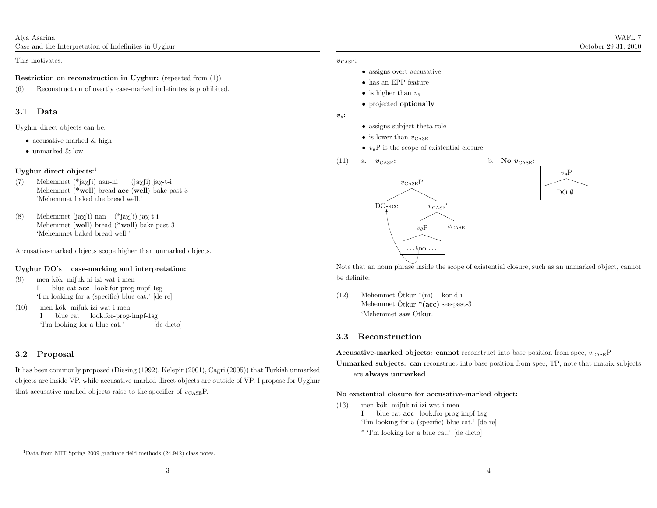Alya AsarinaCase and the Interpretation of Indefinites in Uyghur

This motivates:

#### Restriction on reconstruction in Uyghur: (repeated from (1))

(6) Reconstruction of overtly case-marked indefinites is prohibited.

#### 3.1 Data

Uyghur direct objects can be:

- accusative-marked & high
- unmarked & low

#### Uyghur direct objects: $<sup>1</sup>$ </sup>

- (7) Mehemmet (\*jaχ∫i) nan-ni Mehemmet (\*well) bread-acc (well) bake-past-3 'Mehemmet baked the bread well.' (jaχ∫i) jaχ-t-i
- (8) Mehemmet (jaχfi) nan (\*jaχfi) jaχ-t-i Mehemmet (well) bread (\*well) bake-past-3 'Mehemmet baked bread well.'

Accusative-marked objects scope higher than unmarked objects.

#### Uyghur DO's – case-marking and interpretation:

- (9)) — men kök—mi∫uk-ni izi-wat-i-men I blue cat-**acc** look.for-prog-impf-1sg 'I'm looking for <sup>a</sup> (specific) blue cat.' [de re]
- (10)) — men kök−mi∫uk izi-wat-i-men I blue cat look.for-prog-impf-1sg 'I'm looking for <sup>a</sup> blue cat.' [de dicto]  $[de\;dicto]$

#### 3.2 Proposal

It has been commonly proposed (Diesing (1992), Kelepir (2001), Cagri (2005)) that Turkish unmarked objects are inside VP, while accusative-marked direct objects are outside of VP. <sup>I</sup> propose for Uyghurthat accusative-marked objects raise to the specifier of  $v_{\text{CASE}}$ P.

#### $\boldsymbol{v}_{\mathrm{CASE}}$ :

- assigns overt accusative
- has an EPP feature
- is higher than  $v_{\theta}$
- projected **optionally**

#### $v_{\theta}$ :

- assigns subject theta-role
- is lower than  $v_{\text{CASE}}$
- $v_{\theta}$ P is the scope of existential closure
- (11) a.  $v_{\text{CASE}}$ :

 $v_{\text{CASE}}:$  b. No  $v_{\text{CASE}}:$ 





Note that an noun <sup>p</sup>hrase inside the scope of existential closure, such as an unmarked object, cannotbe definite:

(12) Mehemmet Ötkur-\*(ni) kör-d-i Mehemmet Ötkur-<sup>\*</sup>(acc) see-past-3 'Mehemmet saw Otkur.' ¨

#### 3.3 Reconstruction

Accusative-marked objects: cannot reconstruct into base position from spec,  $v_{\text{CASE}}$ P Unmarked subjects: can reconstruct into base position from spec, TP; note that matrix subjects are always unmarked

#### No existential closure for accusative-marked object:

(13)) — men kök—mi∫uk-ni izi-wat-i-men

I blue cat-**acc** look.for-prog-impf-1sg

- 'I'm looking for <sup>a</sup> (specific) blue cat.' [de re]
- \* 'I'm looking for <sup>a</sup> blue cat.' [de dicto]

<sup>&</sup>lt;sup>1</sup>Data from MIT Spring 2009 graduate field methods (24.942) class notes.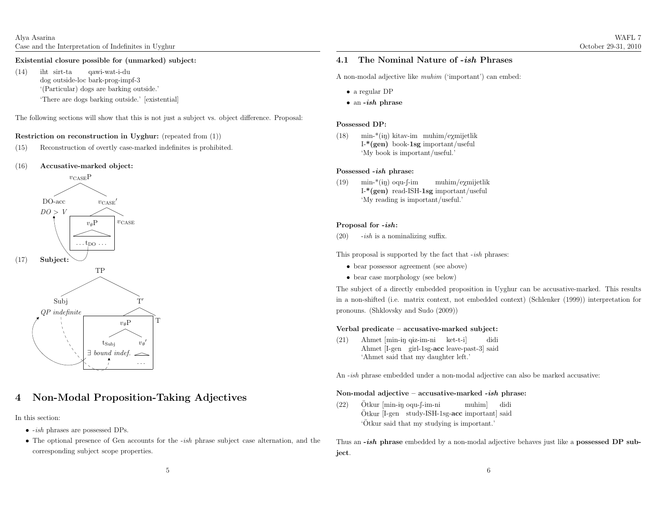(14) iht sirt-tadog outside-loc bark-prog-impf-3 '(Particular) dogs are barking outside.' qawi-wat-i-du'There are dogs barking outside.' [existential]

The following sections will show that this is not just <sup>a</sup> subject vs. object difference. Proposal:

#### Restriction on reconstruction in Uyghur: (repeated from (1))

- (15) Reconstruction of overtly case-marked indefinites is prohibited.
- (16)Accusative-marked object:



## <sup>4</sup> Non-Modal Proposition-Taking Adjectives

In this section:

- *-ish* phrases are possessed DPs.
- The optional presence of Gen accounts for the -ish <sup>p</sup>hrase subject case alternation, and the corresponding subject scope properties.

# 4.1 The Nominal Nature of *-ish* Phrases

A non-modal adjective like *muhim* ('important') can embed:

- <sup>a</sup> regular DP
- an  $-ish$  phrase

#### Possessed DP:

(18)) min-\*(iy) kitav-im muhim/e $\chi$ mijetlik I-\*(gen) book-1sg important/useful'My book is important/useful.'

### Possessed *-ish* phrase:

(19))  $\min^{*}(i\nu)$  oqu-f-im I-\*(gen) read-ISH-1sg important/useful 'My reading is important/useful.' muhim/eXmijetlik

#### Proposal for  $-ish$ :

 $(20)$  -ish is a nominalizing suffix.

This proposal is supported by the fact that *-ish* phrases:

- bear possessor agreement (see above)
- bear case morphology (see below)

The subject of <sup>a</sup> directly embedded proposition in Uyghur can be accusative-marked. This results in <sup>a</sup> non-shifted (i.e. matrix context, not embedded context) (Schlenker (1999)) interpretation forpronouns. (Shklovsky and Sudo (2009))

#### Verbal predicate – accusative-marked subject:

(21) Ahmet [min-iŋ qiz-im-ni ket-t-i] Ahmet [I-gen girl-1sg-acc leave-past-3] said 'Ahmet said that my daughter left.' didi

An *-ish* phrase embedded under a non-modal adjective can also be marked accusative:

### Non-modal adjective – accusative-marked *-ish* phrase:

(22)Otkur [min-in oqu-f-im-ni Otkur [min-<del>i</del>ŋ oqu-ʃ-im-ni study-ISH-1sg-acc important] said<br>Ötkur [I-gen study-ISH-1sg-<mark>acc</mark> important] said 'Otkur said that my studying is important.' ¨

Thus an  $-ish$  phrase embedded by a non-modal adjective behaves just like a possessed DP subject.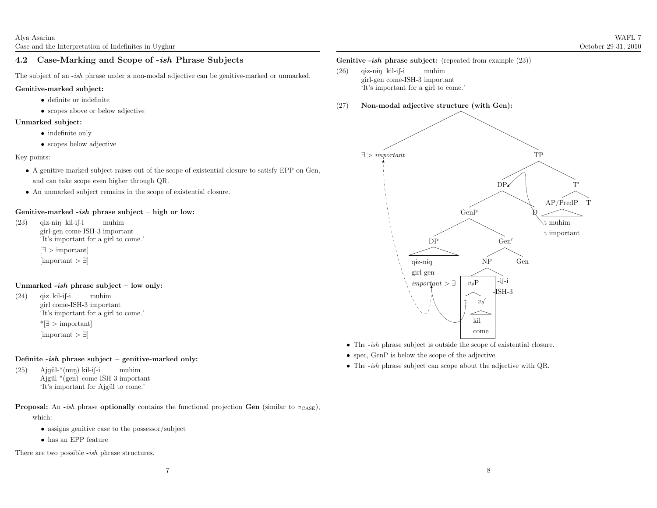# 4.2 Case-Marking and Scope of -*ish* Phrase Subjects

The subject of an *-ish* phrase under a non-modal adjective can be genitive-marked or unmarked.

#### Genitive-marked subject:

- definite or indefinite
- scopes above or below adjective

#### Unmarked subject:

- indefinite only
- $\bullet\,$  scopes below adjective

### Key points:

- <sup>A</sup> genitive-marked subject raises out of the scope of existential closure to satisfy EPP on Gen, and can take scope even higher through QR.
- An unmarked subject remains in the scope of existential closure.

### Genitive-marked *-ish* phrase subject – high or low:

(23)) q<del>i</del>z-n<del>i</del>ŋ kil-i∫-i girl-gen come-ISH-3 important 'It's important for <sup>a</sup> <sup>g</sup>irl to come.' muhim[∃ <sup>&</sup>gt; important] [important <sup>&</sup>gt; <sup>∃</sup>]

### Unmarked *-ish* phrase subject – low only:

(24)) q<del>i</del>z kil-i∫-i girl come-ISH-3 important 'It's important for <sup>a</sup> <sup>g</sup>irl to come.' muhim\*[∃ <sup>&</sup>gt; important] [important <sup>&</sup>gt; <sup>∃</sup>]

### Definite -*ish* phrase subject – genitive-marked only:

(25) Ajgül-\*(nuŋ) kil-i∫-i Ajgül-\*(gen) come-ISH-3 important 'It's important for Ajgül to come.' muhim

#### **Proposal:** An *-ish* phrase **optionally** contains the functional projection **Gen** (similar to  $v_{\text{CASE}}$ ), which:

- assigns genitive case to the possessor/subject
- has an EPP feature

There are two possible *-ish* phrase structures.

### Genitive *-ish* phrase subject: (repeated from example  $(23)$ )

- (26)) q<del>i</del>z-n<del>i</del>ŋ kil-i∫-i girl-gen come-ISH-3 important 'It's important for <sup>a</sup> <sup>g</sup>irl to come.' muhim
- (27)Non-modal adjective structure (with Gen):



- The *-ish* phrase subject is outside the scope of existential closure.
- spec, GenP is below the scope of the adjective.
- The *-ish* phrase subject can scope about the adjective with QR.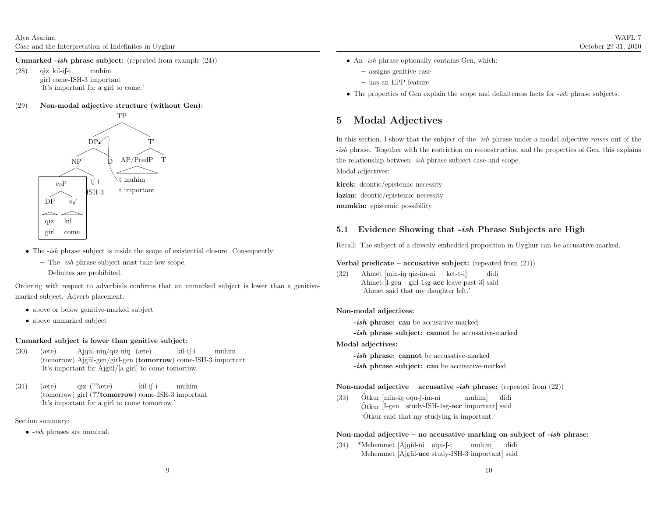Unmarked *-ish* phrase subject: (repeated from example  $(24)$ )

(28)) q<del>i</del>z kil-i∫-i girl come-ISH-3 important 'It's important for <sup>a</sup> <sup>g</sup>irl to come.' muhim

#### (29)Non-modal adjective structure (without Gen):



- The *-ish* phrase subject is inside the scope of existential closure. Consequently:
	- The -ish <sup>p</sup>hrase subject must take low scope.
	- Definites are prohibited.

Ordering with respect to adverbials confirms that an unmarked subject is lower than <sup>a</sup> genitivemarked subject. Adverb <sup>p</sup>lacement:

- above or below genitive-marked subject
- above unmarked subject

### Unmarked subject is lower than genitive subject:

- (30) (æte)(tomorrow) Ajgül-gen/girl-gen (tomorrow) come-ISH-3 important 'It's important for Ajgül/[a girl] to come tomorrow.' Ajgül-n<del>i</del>ŋ/q<del>i</del>z-n<del>i</del>ŋ (æte)  $kil-i-1$ muhim
- (31) (æte)(tomorrow) girl (??tomorrow) come-ISH-3 important 'It's important for <sup>a</sup> <sup>g</sup>irl to come tomorrow.' q<del>i</del>z (??æte)  $kil-if-i$ muhim

#### Section summary:

 $\bullet$  -ish phrases are nominal.

- An *-ish* phrase optionally contains Gen, which:
	- assigns genitive case
	- has an EPP feature
- The properties of Gen explain the scope and definiteness facts for *-ish* phrase subjects.

# <sup>5</sup> Modal Adjectives

In this section, I show that the subject of the *-ish* phrase under a modal adjective *raises* out of the -ish <sup>p</sup>hrase. Together with the restriction on reconstruction and the properties of Gen, this explains the relationship between *-ish* phrase subject case and scope. Modal adjectives:

kirek: deontic/epistemic necessitylazim: deontic/epistemic necessitymumkin: epistemic possibility

# 5.1 Evidence Showing that *-ish* Phrase Subjects are High

Recall: The subject of <sup>a</sup> directly embedded proposition in Uyghur can be accusative-marked.

#### Verbal predicate – accusative subject: (repeated from  $(21)$ )

(32) Ahmet [min-<del>i</del>ŋ q<del>i</del>z-im-ni Ahmet [I-gen girl-1sg-acc leave-past-3] said 'Ahmet said that my daughter left.' ket-t-i]didi

#### Non-modal adjectives:

-*ish* phrase: can be accusative-marked

-*ish* phrase subject: cannot be accusative-marked

Modal adjectives:

-*ish* phrase: cannot be accusative-marked

-*ish* phrase subject: can be accusative-marked

### Non-modal adjective – accusative -*ish* phrase: (repeated from (22))

(33)Ötkur [min-in oqu-f-im-ni Otkur [min-<del>i</del>ŋ oqu-ʃ-im-ni study-ISH-1sg-acc important] said<br>Ötkur [I-gen study-ISH-1sg-<mark>acc</mark> important] said 'Otkur said that my studying is important.' ¨

### Non-modal adjective – no accusative marking on subject of -*ish* phrase:

(34) \*Mehemmet [Ajgül-ni oqu-∫-i Mehemmet [Ajgül-acc study-ISH-3 important] said muhim]didi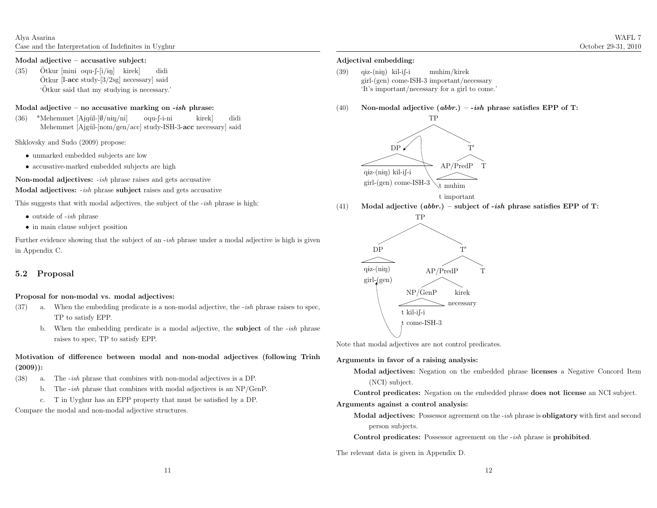(35) $Ötkur$  [mini oqu- $[-i/in]$  kirek] Otkur [mini oqu-ʃ-[i/ɨŋ] kirek] didi<br>Ötkur [I-**acc** study-[3/2sg] necessary] said 'Otkur said that my studying is necessary.' ¨

### Modal adjective – no accusative marking on -*ish* phrase:

(36) \*Mehemmet [Ajgül-[Ø/nɨŋ/ni] Mehemmet [Ajgül-[nom/gen/acc] study-ISH-3-acc necessary] said oqu-f-i-ni kirek]didi

Shklovsky and Sudo (2009) propose:

- unmarked embedded subjects are low
- accusative-marked embedded subjects are high

**Non-modal adjectives:** *-ish* phrase raises and gets accusative

Modal adjectives: *-ish* phrase subject raises and gets accusative

This suggests that with modal adjectives, the subject of the -ish <sup>p</sup>hrase is high:

- outside of  $-ish$  phrase
- in main clause subject position

Further evidence showing that the subject of an *-ish* phrase under a modal adjective is high is given in Appendix C.

#### 5.2 Proposal

#### Proposal for non-modal vs. modal adjectives:

- (37) a. When the embedding predicate is a non-modal adjective, the *-ish* phrase raises to spec, TP to satisfy EPP.
	- b. When the embedding predicate is a modal adjective, the **subject** of the *-ish* phrase raises to spec, TP to satisfy EPP.

### Motivation of difference between modal and non-modal adjectives (following Trinh(2009)):

- $(38)$  a. The *-ish* phrase that combines with non-modal adjectives is a DP.
	- b. The  $-ish$  phrase that combines with modal adjectives is an  $NP/GenP$ .
	- c. <sup>T</sup> in Uyghur has an EPP property that must be satisfied by <sup>a</sup> DP.

Compare the modal and non-modal adjective structures.

#### Adjectival embedding:

(39)) q<del>i</del>z-(niŋ) kil-i∫-i girl-(gen) come-ISH-3 important/necessary 'It's important/necessary for <sup>a</sup> <sup>g</sup>irl to come.' muhim/kirek

(40)Non-modal adjective  $(abbr.) - *ish* phrase satisfies EPP of T:$ 



<sup>t</sup> important

(41)Modal adjective  $(abbr.)$  – subject of -ish phrase satisfies EPP of T:



Note that modal adjectives are not control predicates.

#### Arguments in favor of <sup>a</sup> raising analysis:

Modal adjectives: Negation on the embedded <sup>p</sup>hrase licenses <sup>a</sup> Negative Concord Item(NCI) subject.

Control predicates: Negation on the embedded <sup>p</sup>hrase does not license an NCI subject.

#### Arguments against <sup>a</sup> control analysis:

Modal adjectives: Possessor agreement on the *-ish* phrase is obligatory with first and second person subjects.

Control predicates: Possessor agreement on the *-ish* phrase is **prohibited**.

The relevant data is <sup>g</sup>iven in Appendix D.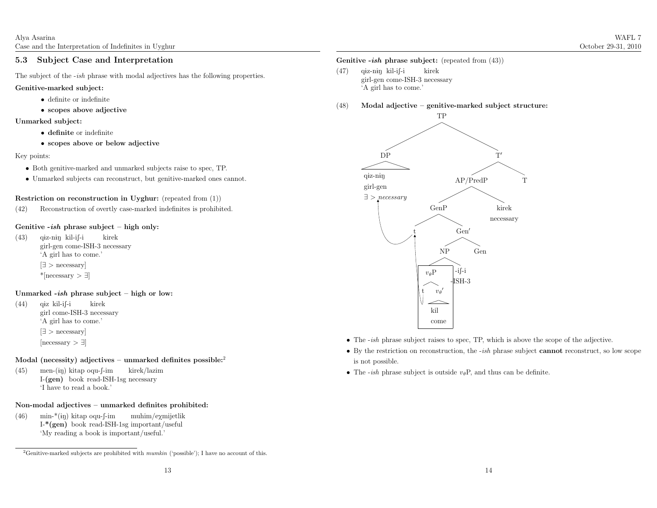#### 5.3 Subject Case and Interpretation

The subject of the *-ish* phrase with modal adjectives has the following properties.

#### Genitive-marked subject:

- definite or indefinite
- scopes above adjective

#### Unmarked subject:

- definite or indefinite
- scopes above or below adjective

#### Key points:

- Both genitive-marked and unmarked subjects raise to spec, TP.
- Unmarked subjects can reconstruct, but genitive-marked ones cannot.

#### Restriction on reconstruction in Uyghur: (repeated from (1))

(42) Reconstruction of overtly case-marked indefinites is prohibited.

### Genitive -*ish* phrase subject – high only:

(43)) q<del>i</del>z-n<del>i</del>ŋ kil-i∫-i girl-gen come-ISH-3 necessary 'A <sup>g</sup>irl has to come.' kirek[∃ <sup>&</sup>gt; necessary] \*[necessary <sup>&</sup>gt; <sup>∃</sup>]

### Unmarked *-ish* phrase subject – high or low:

(44)) q<del>i</del>z kil-i∫-i girl come-ISH-3 necessary 'A <sup>g</sup>irl has to come.' kirek[∃ <sup>&</sup>gt; necessary]  $[necessary > ]$ 

#### Modal (necessity) adjectives – unmarked definites possible: $2$

(45)) men-(iŋ) kitap oqu-f-im I-(gen) book read-ISH-1sg necessary 'I have to read <sup>a</sup> book.' kirek/lazim

#### Non-modal adjectives – unmarked definites prohibited:

(46)) min-\*(iŋ) kitap oqu-∫-im I-\*(gen) book read-ISH-1sg important/useful 'My reading <sup>a</sup> book is important/useful.' muhim/eXmijetlik

### Genitive *-ish* phrase subject: (repeated from  $(43)$ )

- (47)) q<del>i</del>z-n<del>i</del>ŋ kil-i∫-i girl-gen come-ISH-3 necessary 'A <sup>g</sup>irl has to come.' kirek
- (48)Modal adjective – genitive-marked subject structure:



- The *-ish* phrase subject raises to spec, TP, which is above the scope of the adjective.
- By the restriction on reconstruction, the *-ish* phrase subject **cannot** reconstruct, so low scope is not possible.
- The *-ish* phrase subject is outside  $v_{\theta}P$ , and thus can be definite.

<sup>&</sup>lt;sup>2</sup>Genitive-marked subjects are prohibited with  $munkin$  ('possible'); I have no account of this.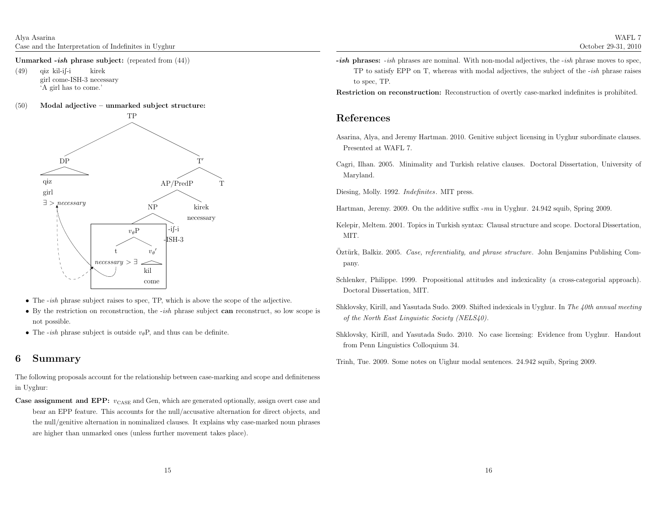Unmarked *-ish* phrase subject: (repeated from  $(44)$ )

(49)) q<del>i</del>z kil-i∫-i girl come-ISH-3 necessary 'A <sup>g</sup>irl has to come.' kirek

#### (50)Modal adjective – unmarked subject structure:



- The *-ish* phrase subject raises to spec, TP, which is above the scope of the adjective.
- By the restriction on reconstruction, the *-ish* phrase subject **can** reconstruct, so low scope is not possible.
- The *-ish* phrase subject is outside  $v_{\theta}P$ , and thus can be definite.

### <sup>6</sup> Summary

The following proposals account for the relationship between case-marking and scope and definitenessin Uyghur:

**Case assignment and EPP:**  $v_{\text{CASE}}$  and Gen, which are generated optionally, assign overt case and bear an EPP feature. This accounts for the null/accusative alternation for direct objects, and the null/genitive alternation in nominalized clauses. It explains why case-marked noun <sup>p</sup>hrasesare higher than unmarked ones (unless further movement takes <sup>p</sup>lace).

 $-ish$  phrases:  $-ish$  phrases are nominal. With non-modal adjectives, the  $-ish$  phrase moves to spec, TP to satisfy EPP on T, whereas with modal adjectives, the subject of the -ish <sup>p</sup>hrase raises to spec, TP.

Restriction on reconstruction: Reconstruction of overtly case-marked indefinites is prohibited.

### References

- Asarina, Alya, and Jeremy Hartman. 2010. Genitive subject licensing in Uyghur subordinate clauses. Presented at WAFL 7.
- Cagri, Ilhan. 2005. Minimality and Turkish relative clauses. Doctoral Dissertation, University of Maryland.
- Diesing, Molly. 1992. Indefinites. MIT press.
- Hartman, Jeremy. 2009. On the additive suffix -mu in Uyghur. 24.942 squib, Spring 2009.
- Kelepir, Meltem. 2001. Topics in Turkish syntax: Clausal structure and scope. Doctoral Dissertation, MIT.
- Oztürk, Balkiz. 2005. Case, referentiality, and phrase structure. John Benjamins Publishing Company.
- Schlenker, Philippe. 1999. Propositional attitudes and indexicality (a cross-categorial approach). Doctoral Dissertation, MIT.
- Shklovsky, Kirill, and Yasutada Sudo. 2009. Shifted indexicals in Uyghur. In *The 40th annual meeting* of the North East Linguistic Society (NELS40).
- Shklovsky, Kirill, and Yasutada Sudo. 2010. No case licensing: Evidence from Uyghur. Handoutfrom Penn Linguistics Colloquium 34.
- Trinh, Tue. 2009. Some notes on Uighur modal sentences. 24.942 squib, Spring 2009.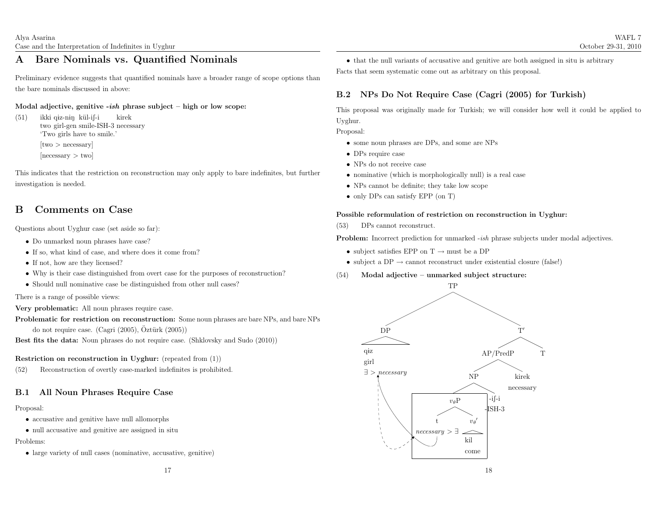### <sup>A</sup> Bare Nominals vs. Quantified Nominals

Preliminary evidence suggests that quantified nominals have <sup>a</sup> broader range of scope options thanthe bare nominals discussed in above:

### Modal adjective, genitive -*ish* phrase subject – high or low scope:

(51)) — ikki q<del>i</del>z-n<del>i</del>ŋ kül-i∫-i two girl-gen smile-ISH-3 necessary 'Two <sup>g</sup>irls have to smile.' kirek[two <sup>&</sup>gt; necessary] [necessary <sup>&</sup>gt; two]

This indicates that the restriction on reconstruction may only apply to bare indefinites, but furtherinvestigation is needed.

### <sup>B</sup> Comments on Case

Questions about Uyghur case (set aside so far):

- Do unmarked noun <sup>p</sup>hrases have case?
- If so, what kind of case, and where does it come from?
- If not, how are they licensed?
- Why is their case distinguished from overt case for the purposes of reconstruction?
- Should null nominative case be distinguished from other null cases?

There is <sup>a</sup> range of possible views:

Very problematic: All noun <sup>p</sup>hrases require case.

Problematic for restriction on reconstruction: Some noun <sup>p</sup>hrases are bare NPs, and bare NPsdo not require case. (Cagri (2005), Öztürk (2005))

Best fits the data: Noun <sup>p</sup>hrases do not require case. (Shklovsky and Sudo (2010))

### Restriction on reconstruction in Uyghur: (repeated from (1))

(52) Reconstruction of overtly case-marked indefinites is prohibited.

## B.1 All Noun Phrases Require Case

#### Proposal:

- accusative and genitive have null allomorphs
- null accusative and genitive are assigned in situ

Problems:

• large variety of null cases (nominative, accusative, genitive)

• that the null variants of accusative and genitive are both assigned in situ is arbitraryFacts that seem systematic come out as arbitrary on this proposal.

### B.2 NPs Do Not Require Case (Cagri (2005) for Turkish)

This proposa<sup>l</sup> was originally made for Turkish; we will consider how well it could be applied toUyghur.

Proposal:

- some noun <sup>p</sup>hrases are DPs, and some are NPs
- DPs require case
- NPs do not receive case
- nominative (which is morphologically null) is <sup>a</sup> real case
- NPs cannot be definite; they take low scope
- only DPs can satisfy EPP (on T)

### Possible reformulation of restriction on reconstruction in Uyghur:

(53) DPs cannot reconstruct.

**Problem:** Incorrect prediction for unmarked *-ish* phrase subjects under modal adjectives.

- subject satisfies EPP on  $T \rightarrow \text{must be a DP}$
- subject a DP  $\rightarrow$  cannot reconstruct under existential closure (false!)
- (54)Modal adjective – unmarked subject structure:

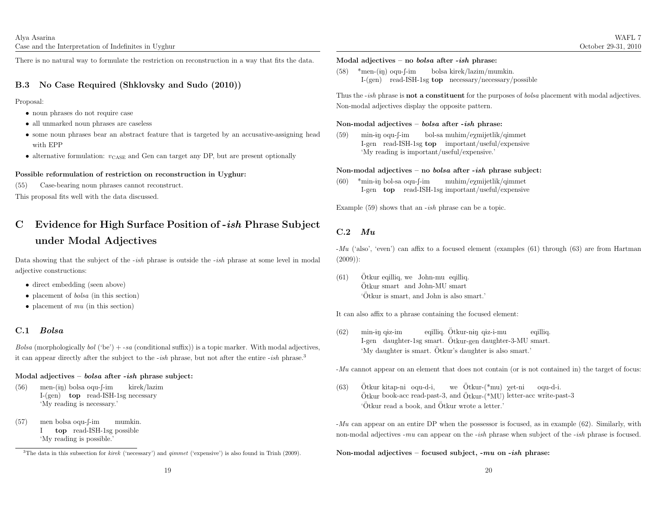There is no natural way to formulate the restriction on reconstruction in <sup>a</sup> way that fits the data.

### B.3 No Case Required (Shklovsky and Sudo (2010))

Proposal:

- noun <sup>p</sup>hrases do not require case
- all unmarked noun <sup>p</sup>hrases are caseless
- some noun <sup>p</sup>hrases bear an abstract feature that is targeted by an accusative-assigning headwith EPP
- $\bullet\,$  alternative formulation:  $v_{\mathrm{CASE}}$  and Gen can target any DP, but are present optionally

#### Possible reformulation of restriction on reconstruction in Uyghur:

(55) Case-bearing noun <sup>p</sup>hrases cannot reconstruct.

This proposa<sup>l</sup> fits well with the data discussed.

# C Evidence for High Surface Position of -*ish* Phrase Subject under Modal Adjectives

Data showing that the subject of the *-ish* phrase is outside the *-ish* phrase at some level in modal adjective constructions:

- direct embedding (seen above)
- placement of *bolsa* (in this section)
- placement of  $mu$  (in this section)

# C.1 Bolsa

 $Bolsa$  (morphologically  $bol$  ('be') + -sa (conditional suffix)) is a topic marker. With modal adjectives, it can appear directly after the subject to the *-ish* phrase, but not after the entire *-ish* phrase.<sup>3</sup>

### Modal adjectives – *bolsa* after -*ish* phrase subject:

- (56)) men-(iŋ) bolsa oqu-f-im I-(gen) top read-ISH-1sg necessary 'My reading is necessary.' kirek/lazim
- (57)) men bolsa oqu-f-im I top read-ISH-1sg possible 'My reading is possible.' mumkin.

### Modal adjectives – no *bolsa* after -*ish* phrase:

 $(58)$  \*men-(iy) oqu-f-im I-(gen) read-ISH-1sg top necessary/necessary/possiblebolsakirek/lazim/mumkin.

Thus the *-ish* phrase is **not a constituent** for the purposes of *bolsa* placement with modal adjectives. Non-modal adjectives display the opposite pattern.

### Non-modal adjectives – *bolsa* after -*ish* phrase:

(59)) min-<del>i</del>ŋ oqu-∫-im I-gen read-ISH-1sg **top** important/useful/expensive 'My reading is important/useful/expensive.' bol-sa muhim/e $\chi$ mijetlik/qimmet

### Non-modal adjectives – no *bolsa* after -*ish* phrase subject:

(60) \*min-iŋ bol-sa oqu-∫-im I-gen top read-ISH-1sg important/useful/expensivemuhim/eXmijetlik/qimmet

Example  $(59)$  shows that an *-ish* phrase can be a topic.

#### C.2 $\bm{Mu}$

-Mu ('also', 'even') can affix to <sup>a</sup> focused element (examples (61) through (63) are from Hartman(2009)):

(61)Otkur eqilliq, we John-mu eqilliq. Otkur eqilliq, we John-mu eqilliq.<br>Ötkur smart and John-MU smart<br>... 'Otkur is smart, and John is also smart.' ¨

It can also affix to <sup>a</sup> <sup>p</sup>hrase containing the focused element:

(62)) min-<del>i</del>ŋ q<del>i</del>z-im min-iŋ qiz-im eqilliq. Otkur-niŋ qiz-i-mu eqilliq.<br>I-gen daughter-1sg smart. Ötkur-gen daughter-3-MU smart. 'My daughter is smart. Otkur's daughter is also smart.' ¨ eqilliq. Ötkur-n<del>i</del>ŋ

-Mu cannot appear on an element that does not contain (or is not contained in) the target of focus:

(63)Ötkur kitap-ni ogu-d-i.  $\ddot{\text{O}}$ tkur kitap-ni oqu-d-i, we  $\ddot{\text{O}}$ tkur-(\*mu)  $\chi$ et-ni oqu-d-i.<br> $\ddot{\text{O}}$ tkur book-acc read-past-3, and  $\ddot{\text{O}}$ tkur-(\*MU) letter-acc write-past-3  $\ddot{\text{O}}$ tkur read a book, and  $\ddot{\text{O}}$ tkur wrote a letter.'

-Mu can appear on an entire DP when the possessor is focused, as in example (62). Similarly, with non-modal adjectives -*mu* can appear on the -*ish* phrase when subject of the -*ish* phrase is focused.

### Non-modal adjectives – focused subject, - $mu$  on - $ish$  phrase:

<sup>&</sup>lt;sup>3</sup>The data in this subsection for *kirek* ('necessary') and  $qimmet$  ('expensive') is also found in Trinh (2009).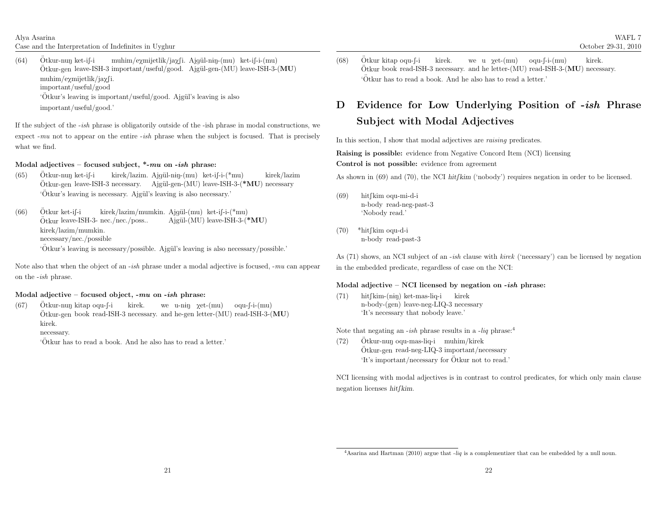Alya AsarinaCase and the Interpretation of Indefinites in Uyghur

(64) $Ötkur-nun ket-i-*i*$ Otkur-nuŋ ket-if-i muhim/exmijetlik/jaxfi. Ajgül-nɨŋ-(mu) ket-if-i-(mu)<br>Ötkur-gen leave-ISH-3 important/useful/good. Ajgül-gen-(MU) leave-ISH-3-<mark>(MU</mark>)  $muhim/eymijetlik/iayfi.$ important/useful/good'Ötkur's leaving is important/useful/good. Ajgül's leaving is also important/useful/good.'

If the subject of the -ish <sup>p</sup>hrase is obligatorily outside of the -ish <sup>p</sup>hrase in modal constructions, we expect  $-mu$  not to appear on the entire  $-ish$  phrase when the subject is focused. That is precisely what we find.

### Modal adjectives – focused subject,  $*$ - $mu$  on - $ish$  phrase:

- (65)Otkur-nun ket-i $\lceil -i \rceil$  Otkur-gen ¨ ket-iS-i leave-ISH-3 kirek/lazim. necessary. <sup>A</sup>jg¨ul-n1N-(mu) Ajg¨ul-gen-(MU) ket-iS-i-(\*mu) leave-ISH-3-(\*MU) kirek/lazim necessary 'Ötkur's leaving is necessary. Ajgül's leaving is also necessary.'
- (66) $Ötkur$  ket-if-i Ötkur leave-ISH-3- nec./nec./poss... kirek/lazim/mumkin. Ajgül-(mu) ket-if-i-(\*mu)<br>nec./nec./poss.. Ajgül-(MU) leave-ISH-3-(\*MU) kirek/lazim/mumkin. necessary/nec./possible'Ötkur's leaving is necessary/possible. Ajgül's leaving is also necessary/possible.'

Note also that when the object of an *-ish* phrase under a modal adjective is focused, *-mu* can appear on the *-ish* phrase.

### Modal adjective – focused object, -*mu* on -*ish* phrase:

(67) $Ötkur-nun kitap\ oqu-f-i$ Otkur-nuŋ kitap oqu-f-i kirek. we u-niŋ  $\chi$ et-(mu) oqu-f-i-(mu)<br>Ötkur-gen book read-ISH-3 necessary. and he-gen letter-(MU) read-ISH-3-(MU) kirek.

necessary.

'Otkur has to read <sup>a</sup> book. And he also has to read <sup>a</sup> letter.' ¨

(68)Ötkur kitap oqu-∫-i Otkur kitap oqu-f-i kirek. we u  $\chi$ et-(mu) oqu-f-i-(mu) kirek.<br>Ötkur book read-ISH-3 necessary. and he letter-(MU) read-ISH-3-(MU) necessary. 'Otkur has to read <sup>a</sup> book. And he also has to read <sup>a</sup> letter.' ¨

# D Evidence for Low Underlying Position of *-ish* Phrase Subject with Modal Adjectives

In this section, I show that modal adjectives are *raising* predicates.

Raising is possible: evidence from Negative Concord Item (NCI) licensingControl is not possible: evidence from agreement

As shown in (69) and (70), the NCI hitfkim ('nobody') requires negation in order to be licensed.

- (69)) hit∫kim oqu-mi-d-i n-body read-neg-past-3'Nobody read.'
- (70) \*hit∫kim oqu-d-i n-body read-past-3

As (71) shows, an NCI subject of an *-ish* clause with *kirek* ('necessary') can be licensed by negation in the embedded predicate, regardless of case on the NCI:

### Modal adjective – NCI licensed by negation on -*ish* phrase:

(71)) hit∫kim-(nɨŋ) ket-mas-liq-i kirek n-body-(gen) leave-neg-LIQ-3 necessary'It's necessary that nobody leave.'

Note that negating an  $-ish$  phrase results in a  $-liq$  phrase:<sup>4</sup>

(72) $Ötkur-nun oqu-mas-liq-i muhim/kirek$ Otkur-nuŋ oqu-mas-liq-i muhim/kirek<br>Ötkur-gen read-neg-LIQ-3 important/necessary 'It's important/necessary for Otkur not to read.' ¨

NCI licensing with modal adjectives is in contrast to control predicates, for which only main clausenegation licenses  $h$ it $f$ kim.

<sup>&</sup>lt;sup>4</sup>Asarina and Hartman (2010) argue that  $-iiq$  is a complementizer that can be embedded by a null noun.